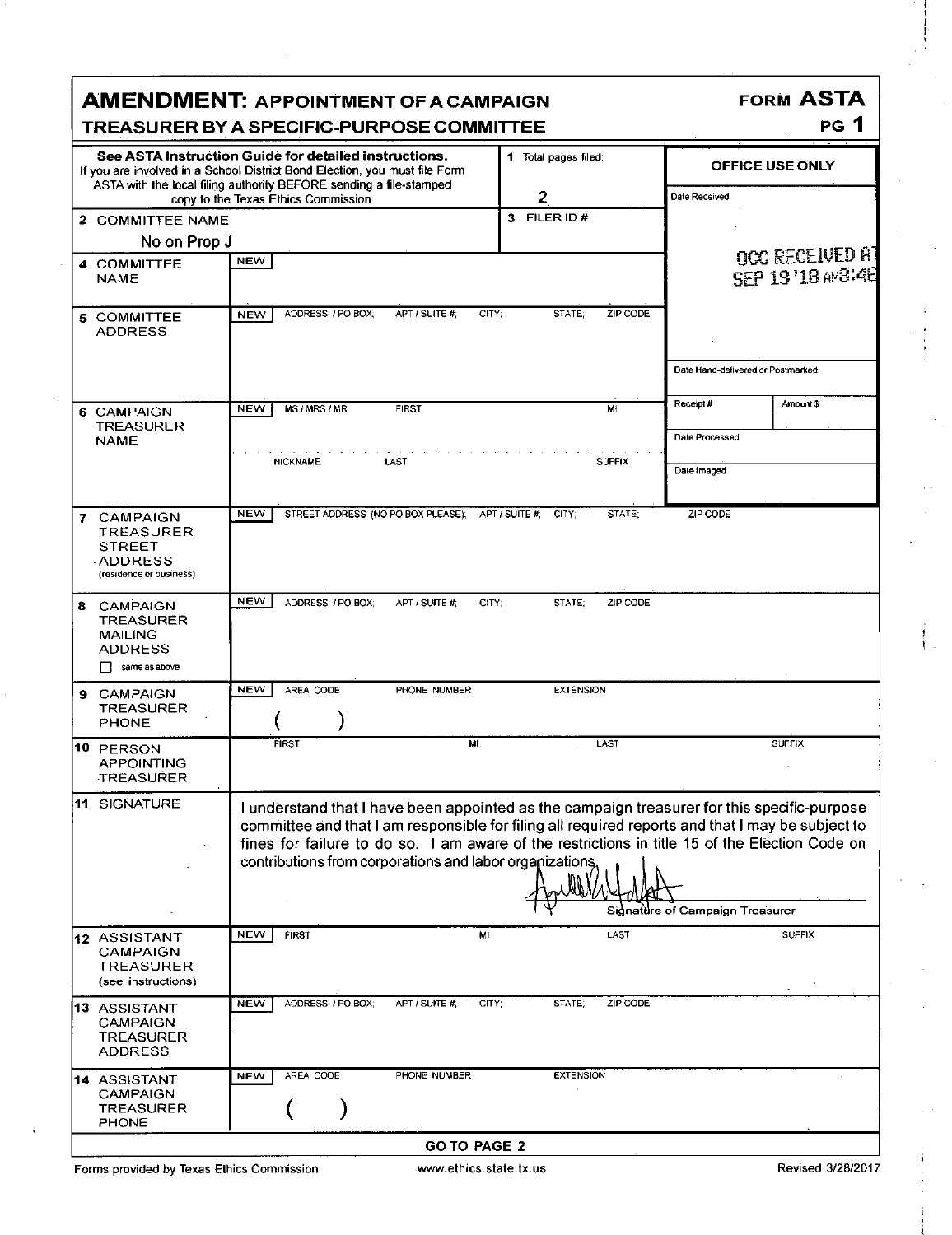| <b>FORM ASTA</b><br><b>AMENDMENT: APPOINTMENT OF A CAMPAIGN</b><br><b>PG</b> 1<br>TREASURER BY A SPECIFIC-PURPOSE COMMITTEE                                                                                                                                                                                                                                                                                      |                                                                   |                      |                                   |                                            |  |  |  |  |
|------------------------------------------------------------------------------------------------------------------------------------------------------------------------------------------------------------------------------------------------------------------------------------------------------------------------------------------------------------------------------------------------------------------|-------------------------------------------------------------------|----------------------|-----------------------------------|--------------------------------------------|--|--|--|--|
| See ASTA Instruction Guide for detailed instructions.<br>If you are involved in a School District Bond Election, you must file Form<br>ASTA with the local filing authority BEFORE sending a file-stamped                                                                                                                                                                                                        |                                                                   | 1 Total pages filed: | <b>OFFICE USE ONLY</b>            |                                            |  |  |  |  |
| copy to the Texas Ethics Commission.                                                                                                                                                                                                                                                                                                                                                                             |                                                                   | $\overline{2}$       | Date Received                     |                                            |  |  |  |  |
| 2 COMMITTEE NAME                                                                                                                                                                                                                                                                                                                                                                                                 |                                                                   | 3 FILER ID#          |                                   |                                            |  |  |  |  |
| No on Prop J                                                                                                                                                                                                                                                                                                                                                                                                     |                                                                   |                      |                                   |                                            |  |  |  |  |
| <b>NEW</b><br>4 COMMITTEE<br><b>NAME</b>                                                                                                                                                                                                                                                                                                                                                                         |                                                                   |                      |                                   | <b>OCC RECEIVED AT</b><br>SEP 19'18 AMB:48 |  |  |  |  |
| <b>NEW</b><br>5 COMMITTEE<br><b>ADDRESS</b>                                                                                                                                                                                                                                                                                                                                                                      | ADDRESS / PO BOX;<br>APT / SUITE #<br>CITY:<br>STATE:<br>ZIP CODE |                      |                                   |                                            |  |  |  |  |
|                                                                                                                                                                                                                                                                                                                                                                                                                  |                                                                   |                      | Date Hand-delivered or Postmarked |                                            |  |  |  |  |
| <b>NEW</b><br>MS / MRS / MR<br>6 CAMPAIGN<br><b>TREASURER</b>                                                                                                                                                                                                                                                                                                                                                    | <b>FIRST</b>                                                      | MI                   | Receipt#<br>Date Processed        | Amount \$                                  |  |  |  |  |
| <b>NAME</b><br><b>NICKNAME</b>                                                                                                                                                                                                                                                                                                                                                                                   | LAST                                                              | <b>SUFFIX</b>        | Dale Imaged                       |                                            |  |  |  |  |
| <b>NEW</b><br>7 CAMPAIGN<br>TREASURER<br><b>STREET</b><br><b>ADDRESS</b><br>(residence or business)                                                                                                                                                                                                                                                                                                              | STREET ADDRESS (NO PO BOX PLEASE); APT / SUITE #: CITY;           | STATE:               | ZIP CODE                          |                                            |  |  |  |  |
| <b>NEW</b><br>ADDRESS / PO BOX;<br>8 CAMPAIGN<br><b>TREASURER</b><br><b>MAILING</b><br><b>ADDRESS</b><br>$\Box$ same as above                                                                                                                                                                                                                                                                                    | APT / SUITE #:<br>CITY:                                           | ZIP CODE<br>STATE:   |                                   |                                            |  |  |  |  |
| <b>NEW</b><br>AREA CODE<br>9 CAMPAIGN<br><b>TREASURER</b><br><b>PHONE</b>                                                                                                                                                                                                                                                                                                                                        | PHONE NUMBER                                                      | <b>EXTENSION</b>     |                                   |                                            |  |  |  |  |
| <b>FIRST</b><br>10 PERSON<br><b>APPOINTING</b><br><b>TREASURER</b>                                                                                                                                                                                                                                                                                                                                               | MI                                                                | LAST                 |                                   | <b>SUFFIX</b>                              |  |  |  |  |
| 11 SIGNATURE<br>I understand that I have been appointed as the campaign treasurer for this specific-purpose<br>committee and that I am responsible for filing all required reports and that I may be subject to<br>fines for failure to do so. I am aware of the restrictions in title 15 of the Election Code on<br>contributions from corporations and labor organizations.<br>Signature of Campaign Treasurer |                                                                   |                      |                                   |                                            |  |  |  |  |
| <b>NEW</b><br>FIRST<br>12 ASSISTANT<br>CAMPAIGN<br><b>TREASURER</b><br>(see instructions)                                                                                                                                                                                                                                                                                                                        | ML                                                                | LAST                 |                                   | <b>SUFFIX</b>                              |  |  |  |  |
| ADDRESS / PO BOX;<br><b>NEW</b><br>13 ASSISTANT<br><b>CAMPAIGN</b><br><b>TREASURER</b><br><b>ADDRESS</b>                                                                                                                                                                                                                                                                                                         | APT / SUITE #:<br>CITY:                                           | STATE:<br>ZIP CODE   |                                   |                                            |  |  |  |  |
| AREA CODE<br><b>NEW</b><br>14 ASSISTANT<br><b>CAMPAIGN</b><br><b>TREASURER</b><br><b>PHONE</b>                                                                                                                                                                                                                                                                                                                   | PHONE NUMBER                                                      | <b>EXTENSION</b>     |                                   |                                            |  |  |  |  |
|                                                                                                                                                                                                                                                                                                                                                                                                                  |                                                                   |                      | <b>GO TO PAGE 2</b>               |                                            |  |  |  |  |

Forms provided by Texas Ethics Commission www.ethics.state.tx.us **Revised 3/28/2017** Revised 3/28/2017

f